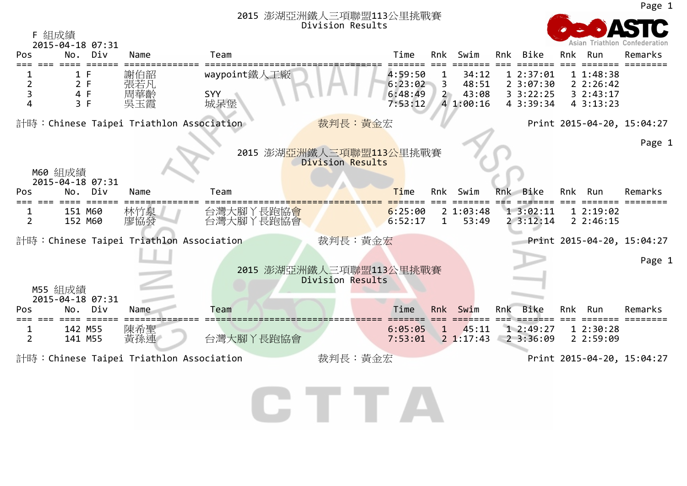| 2015 澎湖亞洲鐵人三項聯盟113公里挑戰賽<br>Division Results |                                                                                  |                                          |              |                                             |                    |                  |                |     |                       |     |                      |                            |
|---------------------------------------------|----------------------------------------------------------------------------------|------------------------------------------|--------------|---------------------------------------------|--------------------|------------------|----------------|-----|-----------------------|-----|----------------------|----------------------------|
| F 組成績                                       | 2015-04-18 07:31                                                                 |                                          |              |                                             |                    |                  |                |     |                       |     | Asian Triathlon      |                            |
| Pos                                         | Div<br>No.                                                                       | Name                                     | Team         |                                             | Time               | Rnk              | Swim           | Rnk | Bike                  | Rnk | Run                  | Remarks                    |
|                                             | 1 F                                                                              | 謝伯韶                                      | waypoint鐵人工廠 |                                             | 4:59:50            | 1                | 34:12          |     | 1 2:37:01             |     | 11:48:38             |                            |
| $\overline{2}$<br>3                         | 2 F<br>4 F                                                                       | 張若凡<br>周華齡                               | <b>SYY</b>   |                                             | 6:23:02<br>6:48:49 | 3<br>$2^{\circ}$ | 48:51<br>43:08 |     | 23:07:30<br>3.3:22:25 |     | 22:26:42<br>32:43:17 |                            |
| Δ                                           | 3 F                                                                              | 吳玉霞                                      | 城呆堡          |                                             | 7:53:12            |                  | 4 1:00:16      |     | 4 3:39:34             |     | 43:13:23             |                            |
|                                             |                                                                                  | 計時:Chinese Taipei Triathlon Association  |              | 裁判長:黃金宏                                     |                    |                  |                |     |                       |     |                      | Print 2015-04-20, 15:04:27 |
|                                             |                                                                                  |                                          |              |                                             |                    |                  |                |     |                       |     |                      | Page 1                     |
|                                             |                                                                                  |                                          |              | 2015 澎湖亞洲鐵人三項聯盟113公里挑戰賽<br>Division Results |                    |                  |                |     |                       |     |                      |                            |
|                                             | M60 組成績<br>2015-04-18 07:31                                                      |                                          |              |                                             |                    |                  |                |     |                       |     |                      |                            |
| Pos                                         | Div<br>No.                                                                       | Name                                     | Team         |                                             | Time               | Rnk              | Swim           |     | Rnk Bike              | Rnk | Run                  | Remarks                    |
|                                             | 151 M60                                                                          | 林竹泉                                      | 台灣大腳丫長跑協會    |                                             | 6:25:00            |                  | 21:03:48       |     | 13:02:11              |     | 12:19:02             |                            |
| $\overline{2}$                              | 152 M60                                                                          | 廖協發                                      | 台灣大腳丫長跑協會    |                                             | 6:52:17            | $\mathbf{1}$     | 53:49          |     | 23:12:14              |     | 22:46:15             |                            |
|                                             |                                                                                  | 計時: Chinese Taipei Triathlon Association |              | 裁判長:黃金宏                                     |                    |                  |                |     |                       |     |                      | Print 2015-04-20, 15:04:27 |
|                                             |                                                                                  |                                          |              |                                             |                    |                  |                |     |                       |     |                      | Page 1                     |
|                                             |                                                                                  |                                          |              | 2015 澎湖亞洲鐵人三項聯盟113公里挑戰賽<br>Division Results |                    |                  |                |     |                       |     |                      |                            |
|                                             | M55 組成績<br>2015-04-18 07:31                                                      |                                          |              |                                             |                    |                  |                |     |                       |     |                      |                            |
| Pos                                         | Div<br>No.                                                                       | Name                                     | Team         |                                             | Time               | Rnk              | Swim           | Rnk | Bike                  | Rnk | Run                  | Remarks                    |
| 1                                           | 142 M55                                                                          | 陳希聖                                      |              |                                             | 6:05:05            | $\mathbf{1}$     | 45:11          |     | 12:49:27              |     | 12:30:28             |                            |
|                                             | 141 M55                                                                          | 黃孫連                                      | 台灣大腳丫長跑協會    |                                             | 7:53:01            |                  | 2 1:17:43      |     | 23:36:09              |     | 2 2:59:09            |                            |
| $\overline{2}$                              | 裁判長:黃金宏<br>計時:Chinese Taipei Triathlon Association<br>Print 2015-04-20, 15:04:27 |                                          |              |                                             |                    |                  |                |     |                       |     |                      |                            |



Page 1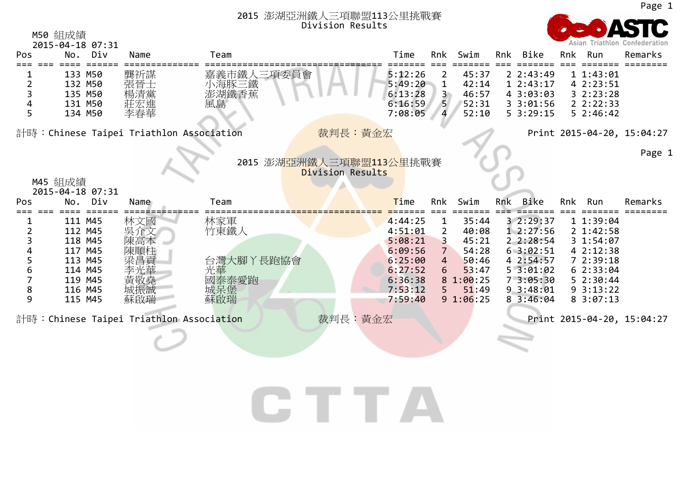M50 組成績



Page 1

|     | 2015-04-18 07:31                        |      |                |                         |                    |                |                |     |                       |                       | Asian Triathton Confederation |
|-----|-----------------------------------------|------|----------------|-------------------------|--------------------|----------------|----------------|-----|-----------------------|-----------------------|-------------------------------|
| Pos | No. Div                                 | Name | Team           |                         | Time               | Rnk            | Swim           |     | Rnk Bike              | Rnk Run               | Remarks                       |
|     | 133 M50                                 | 龔祈謀  | 嘉義市鐵人三項委員會     |                         | 5:12:26            |                | 45:37          |     | 22:43:49              | 11:43:01              |                               |
|     | 132 M50                                 | 張晉士  | 小海豚三鐵<br>澎湖鐵香蕉 |                         | 5:49:20            | 1              | 42:14          |     | 12:43:17              | 4 2:23:51             |                               |
|     | 135 M50                                 | 楊清黨  |                |                         | 6:13:28            |                | 46:57          |     | 4 3:03:03             | 32:23:28              |                               |
|     | 131 M50                                 | 莊宏進  | 風島             |                         | 6:16:59            | 5 <sup>5</sup> | 52:31          |     | 3 3:01:56             | 22:22:33              |                               |
| 5   | 134 M50                                 | 李春華  |                |                         | 7:08:05            | 4              | 52:10          |     | $5 \; 3:29:15$        | 52:46:42              |                               |
|     | 計時:Chinese Taipei Triathlon Association |      |                | 裁判長:黃金宏                 |                    |                |                |     |                       |                       | Print 2015-04-20, 15:04:27    |
|     |                                         |      |                |                         |                    |                |                |     |                       |                       | Page 1                        |
|     |                                         |      |                | 2015 澎湖亞洲鐵人三項聯盟113公里挑戰賽 |                    |                |                |     |                       |                       |                               |
|     |                                         |      |                | Division Results        |                    |                |                |     |                       |                       |                               |
|     | M45 組成績                                 |      |                |                         |                    |                |                |     |                       |                       |                               |
| Pos | 2015-04-18 07:31<br>No. Div             | Name | Team           |                         | <b>Time</b>        | Rnk            | Swim           | Rnk | Bike                  | Rnk Run               | Remarks                       |
|     |                                         |      |                |                         |                    |                |                |     |                       |                       |                               |
|     | 111 M45                                 | 林文國  | 林家軍            |                         | 4:44:25            | 1              | 35:44          |     | 3 2:29:37             | 11:39:04              |                               |
|     | 112 M45                                 | 吳介文  | 竹東鐵人           |                         | 4:51:01            | 2              | 40:08          |     | 12:27:56              | 2 1:42:58             |                               |
|     | 118 M45                                 |      |                |                         | 5:08:21            | 3              | 45:21          |     | 2 2:28:54             | 3 1:54:07             |                               |
|     | 117 M45<br>113 M45                      | 陳順柱  | 台灣大腳丫長跑協會      |                         | 6:09:56<br>6:25:00 |                | 54:28<br>50:46 |     | 63:02:51<br>4 2:54:57 | 4 2:12:38<br>72:39:18 |                               |
|     | 114 M45                                 | 李光華  | 光華             |                         | 6:27:52            |                | 53:47          |     | 53:01:02              | 62:33:04              |                               |
|     | 119 M45                                 | 貢欨堯  | 國泰泰愛跑          |                         | 6:36:38            |                | 8 1:00:25      |     | 73:05:30              | 52:30:44              |                               |
|     | 116 M45                                 | 成振誠  | 城呆堡            |                         | 7:53:12            |                | 51:49          |     | 93:3:8:01             | 93:13:22              |                               |
| 9   | 115 M45                                 | 蘇啟瑞  | 蘇啟瑞            |                         | 7:59:40            |                | 91:06:25       |     | 83:46:04              | 83:07:13              |                               |
|     | 計時:Chinese Taipei Triathlon Association |      |                | 裁判長:黃金宏                 |                    |                |                |     |                       |                       | Print 2015-04-20, 15:04:27    |
|     |                                         |      |                |                         |                    |                |                |     |                       |                       |                               |
|     |                                         |      |                |                         |                    |                |                |     |                       |                       |                               |
|     |                                         |      |                |                         |                    |                |                |     |                       |                       |                               |
|     |                                         |      |                |                         |                    |                |                |     |                       |                       |                               |
|     |                                         |      |                |                         |                    |                |                |     |                       |                       |                               |

CTTA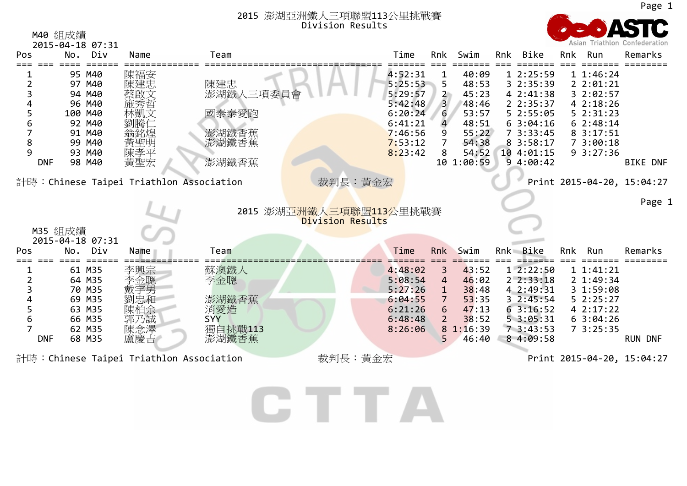

|                                                                                   | M40 組成績                                                                                           |                                                             |                                                               |                                                                                                 |                                                 |                                                                                             |     |                                                                                                                            |     |                                                                                                             | Asian Triathlon Confederation |
|-----------------------------------------------------------------------------------|---------------------------------------------------------------------------------------------------|-------------------------------------------------------------|---------------------------------------------------------------|-------------------------------------------------------------------------------------------------|-------------------------------------------------|---------------------------------------------------------------------------------------------|-----|----------------------------------------------------------------------------------------------------------------------------|-----|-------------------------------------------------------------------------------------------------------------|-------------------------------|
| Pos                                                                               | 2015-04-18 07:31<br>Div<br>No.                                                                    | Name                                                        | Team                                                          | Time                                                                                            | Rnk                                             | Swim                                                                                        | Rnk | Bike                                                                                                                       | Rnk | Run                                                                                                         | Remarks                       |
| 8<br>9<br><b>DNF</b>                                                              | 95 M40<br>97 M40<br>94 M40<br>96 M40<br>100 M40<br>92 M40<br>91 M40<br>99 M40<br>93 M40<br>98 M40 | 陳福安<br>陳建忠<br>蔡啟文<br>林凱文<br>   劉   騰 仁<br>黃聖明<br>陳孝平<br>黃聖宏 | 陳建忠<br>澎湖鐵人三項委員會<br>國泰泰愛跑<br>澎湖鐵香蕉<br>澎湖鐵香蕉<br>澎湖鐵香蕉          | 4:52:31<br>5:25:53<br>5:29:57<br>5:42:48<br>6:20:24<br>6:41:21<br>7:46:56<br>7:53:12<br>8:23:42 | 5<br>$\overline{2}$<br>$\overline{3}$<br>6<br>8 | 40:09<br>48:53<br>45:23<br>48:46<br>53:57<br>48:51<br>55:22<br>54:38<br>54:52<br>10 1:00:59 |     | 12:25:59<br>3 2:35:39<br>4 2:41:38<br>2 2:35:37<br>52:55:05<br>63:04:16<br>73:33:45<br>8 3:58:17<br>10 4:01:15<br>94:00:42 |     | 11:46:24<br>22:01:21<br>3 2:02:57<br>4 2:18:26<br>52:31:23<br>62:38:14<br>8 3:17:51<br>73:00:18<br>93:27:36 | <b>BIKE DNF</b>               |
|                                                                                   |                                                                                                   |                                                             | 計時:Chinese Taipei Triathlon Association                       | 裁判長:黃金宏                                                                                         |                                                 |                                                                                             |     |                                                                                                                            |     |                                                                                                             | Print 2015-04-20, 15:04:27    |
| 2015 澎湖亞洲鐵人三項聯盟113公里挑戰賽<br><b>Division Results</b><br>M35 組成績<br>2015-04-18 07:31 |                                                                                                   |                                                             |                                                               |                                                                                                 |                                                 |                                                                                             |     |                                                                                                                            |     | Page 1                                                                                                      |                               |
| Pos                                                                               | Div<br>No.                                                                                        | Name                                                        | Team                                                          | Time                                                                                            | Rnk                                             | Swim                                                                                        |     | Rnk Bike                                                                                                                   | Rnk | Run                                                                                                         | Remarks                       |
| 6<br><b>DNF</b>                                                                   | 61 M35<br>64 M35<br>70 M35<br>69 M35<br>63 M35<br>66 M35<br>62 M35<br>68 M35                      | 李興宗<br>李金聰<br>戴宇男<br>劉忠和<br>陳柏余<br>郭乃誠<br>陳念澤<br>盧慶吉1       | 蘇澳鐵人<br>李金聰<br>澎湖鐵香蕉<br>消愛造<br><b>SYY</b><br>獨自挑戰113<br>澎湖鐵香蕉 | 4:48:02<br>5:08:54<br>5:27:26<br>6:04:55<br>6:21:26<br>6:48:48<br>8:26:06                       | 3<br>4<br>1<br>6                                | 43:52<br>46:02<br>38:48<br>53:35<br>47:13<br>38:52<br>8 1:16:39<br>46:40                    |     | 12:22:50<br>22:33:18<br>4 2:49:31<br>3 2:45:54<br>63:16:52<br>53:05:31<br>73:43:53<br>8 4:09:58                            |     | 11:41:21<br>2 1:49:34<br>3 1:59:08<br>52:25:27<br>4 2:17:22<br>63:04:26<br>73:25:35                         | <b>RUN DNF</b>                |
|                                                                                   | 計時:Chinese Taipei Triathlon Association                                                           |                                                             |                                                               | 裁判長:黃金宏                                                                                         |                                                 |                                                                                             |     |                                                                                                                            |     |                                                                                                             |                               |

CTTA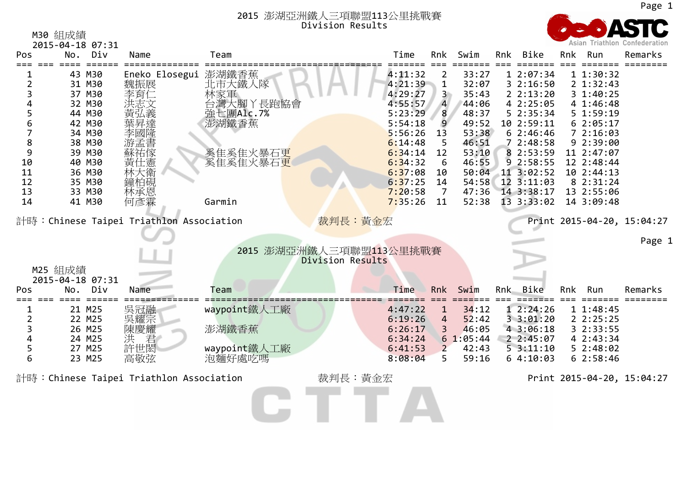

|                | M30 組成績<br>2015-04-18 07:31    |                                          |                         |                  |                    |                      |                   |                          |     |                          | Asian Triathlon Confederation |
|----------------|--------------------------------|------------------------------------------|-------------------------|------------------|--------------------|----------------------|-------------------|--------------------------|-----|--------------------------|-------------------------------|
| Pos            | No. Div                        | Name                                     | Team                    |                  | Time               | Rnk                  | Swim              | Rnk Bike                 | Rnk | Run                      | Remarks                       |
|                |                                |                                          |                         |                  |                    |                      |                   |                          |     |                          |                               |
| $\overline{2}$ | 43 M30<br>31 M30               | Eneko Elosegui 澎湖鐵香蕉<br>魏振展              | 北市大鐵人隊                  |                  | 4:11:32<br>4:21:39 | 2<br>$\mathbf{1}$    | 33:27<br>32:07    | 1 2:07:34<br>32:16:50    |     | 11:30:32<br>2 1:32:43    |                               |
| 3              | 37 M30                         | 李育仁                                      | 林家軍                     |                  | 4:29:27            | 3 <sup>1</sup>       | 35:43             | 22:13:20                 |     | 3 1:40:25                |                               |
| 4              | 32 M30                         | 洪志文<br>黄弘義                               | 台灣大腳丫長跑協會<br>強七團Alc.7%  |                  | 4:55:57            | $\overline{4}$       | 44:06             | 4 2:25:05                |     | 4 1:46:48                |                               |
| 5              | 44 M30                         |                                          |                         |                  | 5:23:29            | 8                    | 48:37             | 5 2:35:34                |     | 51:59:19                 |                               |
| 6<br>7         | 42 M30                         |                                          | 澎湖鐵香蕉                   |                  | 5:54:18            | 9                    | 49:52             | 10 2:59:11               |     | 62:05:17                 |                               |
| 8              | 34 M30<br>38 M30               | 李國隆                                      |                         |                  | 5:56:26<br>6:14:48 | 13<br>5              | 53:38<br>46:51    | 62:46:46<br>72:48:58     |     | 72:16:03<br>9 2:39:00    |                               |
| 9              | 39 M30                         | ·游孟書<br>蘇祐傢                              | 奚隹奚隹火暴石更                |                  | 6:34:14            | 12                   | 53:10             | 8 2:53:59                |     | 11 2:47:07               |                               |
| 10             | 40 M30                         | 黃仕憲                                      | 奚隹奚隹火暴石更                |                  | 6:34:32            | 6                    | 46:55             | 9 2:58:55                |     | 12 2:48:44               |                               |
| 11             | 36 M30                         | 林大衛                                      |                         |                  | 6:37:08            | 10                   | 50:04             | 11 3:02:52               |     | 10 2:44:13               |                               |
| 12             | 35 M30                         | 鐘柏硯                                      |                         |                  | 6:37:25            | 14                   | 54:58             | 12 3:11:03               |     | 8 2:31:24                |                               |
| 13<br>14       | 33 M30<br>41 M30               | 林承恩<br>何彥霖                               | Garmin                  |                  | 7:20:58<br>7:35:26 | $\overline{7}$<br>11 | 47:36<br>52:38    | 14 3:38:17<br>13 3:33:02 |     | 13 2:55:06<br>14 3:09:48 |                               |
|                |                                |                                          |                         |                  |                    |                      |                   |                          |     |                          |                               |
|                |                                | 計時: Chinese Taipei Triathlon Association |                         | 裁判長:黃金宏          |                    |                      |                   |                          |     |                          | Print 2015-04-20, 15:04:27    |
|                |                                |                                          |                         |                  |                    |                      |                   |                          |     |                          |                               |
|                |                                |                                          | 2015 澎湖亞洲鐵人三項聯盟113公里挑戰賽 |                  |                    |                      |                   |                          |     |                          | Page 1                        |
|                |                                |                                          |                         | Division Results |                    |                      |                   |                          |     |                          |                               |
|                | M25 組成績                        |                                          |                         |                  |                    |                      |                   |                          |     |                          |                               |
| Pos            | 2015-04-18 07:31<br>Div<br>No. | Name                                     | Team                    |                  | Time               | Rnk                  | Swim              | Rnk Bike                 | Rnk | Run                      | Remarks                       |
|                |                                |                                          |                         |                  |                    |                      |                   |                          |     |                          |                               |
|                | 21 M25                         |                                          | waypoint鐵人工廠            |                  | 4:47:22            | $\mathbf{1}$         | 34:12             | 12:24:26                 |     | 11:48:45                 |                               |
| $\overline{2}$ | 22 M25                         | 吳冠耀宗耀<br>陳耀慶<br>陳慶                       |                         |                  | 6:19:26            | 4                    | 52:42             | 33:01:20                 |     | 22:25:25                 |                               |
| 3              | 26 M25                         |                                          | 澎湖鐵香蕉                   |                  | 6:26:17            | 3                    | 46:05             | 4 3:06:18                |     | 3 2:33:55                |                               |
| 4<br>5         | 24 M25<br>27 M25               | 洪<br>君<br>許世閎                            | waypoint鐵人工廠            |                  | 6:34:24<br>6:41:53 | $\mathbf{2}$         | 61:05:44<br>42:43 | 22:45:07<br>53:11:10     |     | 4 2:43:34<br>52:48:02    |                               |
| 6              | 23 M25                         | 高敬弦                                      | 泡麵好處吃嗎                  |                  | 8:08:04            | 5.                   | 59:16             | 64:10:03                 |     | 62:58:46                 |                               |
|                |                                |                                          |                         |                  |                    |                      |                   |                          |     |                          |                               |
|                |                                | 計時:Chinese Taipei Triathlon Association  |                         | 裁判長:黃金宏          |                    |                      |                   |                          |     |                          | Print 2015-04-20, 15:04:27    |
|                |                                |                                          |                         |                  |                    |                      |                   |                          |     |                          |                               |
|                |                                |                                          |                         |                  |                    |                      |                   |                          |     |                          |                               |
|                |                                |                                          |                         |                  |                    |                      |                   |                          |     |                          |                               |

Page 1